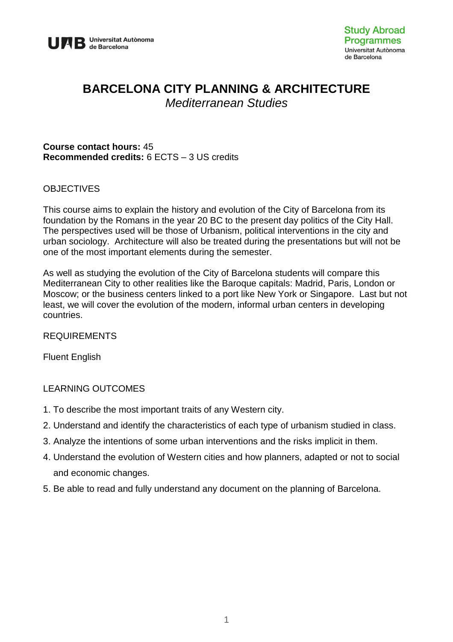

# **BARCELONA CITY PLANNING & ARCHITECTURE**

*Mediterranean Studies*

#### **Course contact hours:** 45 **Recommended credits:** 6 ECTS – 3 US credits

### **OBJECTIVES**

This course aims to explain the history and evolution of the City of Barcelona from its foundation by the Romans in the year 20 BC to the present day politics of the City Hall. The perspectives used will be those of Urbanism, political interventions in the city and urban sociology. Architecture will also be treated during the presentations but will not be one of the most important elements during the semester.

As well as studying the evolution of the City of Barcelona students will compare this Mediterranean City to other realities like the Baroque capitals: Madrid, Paris, London or Moscow; or the business centers linked to a port like New York or Singapore. Last but not least, we will cover the evolution of the modern, informal urban centers in developing countries.

#### REQUIREMENTS

Fluent English

#### LEARNING OUTCOMES

- 1. To describe the most important traits of any Western city.
- 2. Understand and identify the characteristics of each type of urbanism studied in class.
- 3. Analyze the intentions of some urban interventions and the risks implicit in them.
- 4. Understand the evolution of Western cities and how planners, adapted or not to social and economic changes.
- 5. Be able to read and fully understand any document on the planning of Barcelona.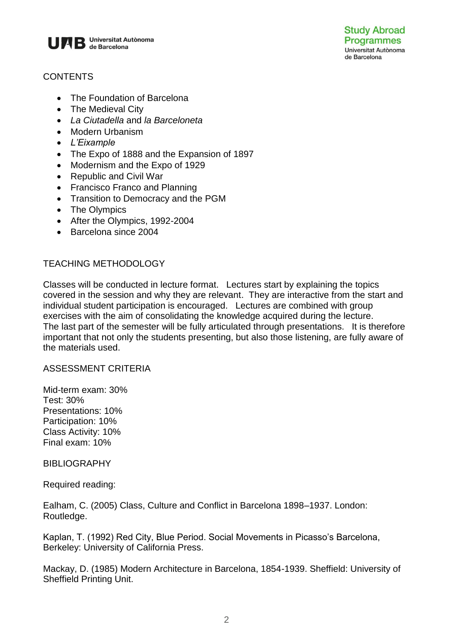

## **CONTENTS**

- The Foundation of Barcelona
- The Medieval City
- *La Ciutadella* and *la Barceloneta*
- Modern Urbanism
- *L'Eixample*
- The Expo of 1888 and the Expansion of 1897
- Modernism and the Expo of 1929
- Republic and Civil War
- Francisco Franco and Planning
- Transition to Democracy and the PGM
- The Olympics
- After the Olympics, 1992-2004
- Barcelona since 2004

## TEACHING METHODOLOGY

Classes will be conducted in lecture format. Lectures start by explaining the topics covered in the session and why they are relevant. They are interactive from the start and individual student participation is encouraged. Lectures are combined with group exercises with the aim of consolidating the knowledge acquired during the lecture. The last part of the semester will be fully articulated through presentations. It is therefore important that not only the students presenting, but also those listening, are fully aware of the materials used.

#### ASSESSMENT CRITERIA

Mid-term exam: 30% Test: 30% Presentations: 10% Participation: 10% Class Activity: 10% Final exam: 10%

#### **BIBLIOGRAPHY**

Required reading:

Ealham, C. (2005) Class, Culture and Conflict in Barcelona 1898–1937. London: Routledge.

Kaplan, T. (1992) Red City, Blue Period. Social Movements in Picasso's Barcelona, Berkeley: University of California Press.

Mackay, D. (1985) Modern Architecture in Barcelona, 1854-1939. Sheffield: University of Sheffield Printing Unit.